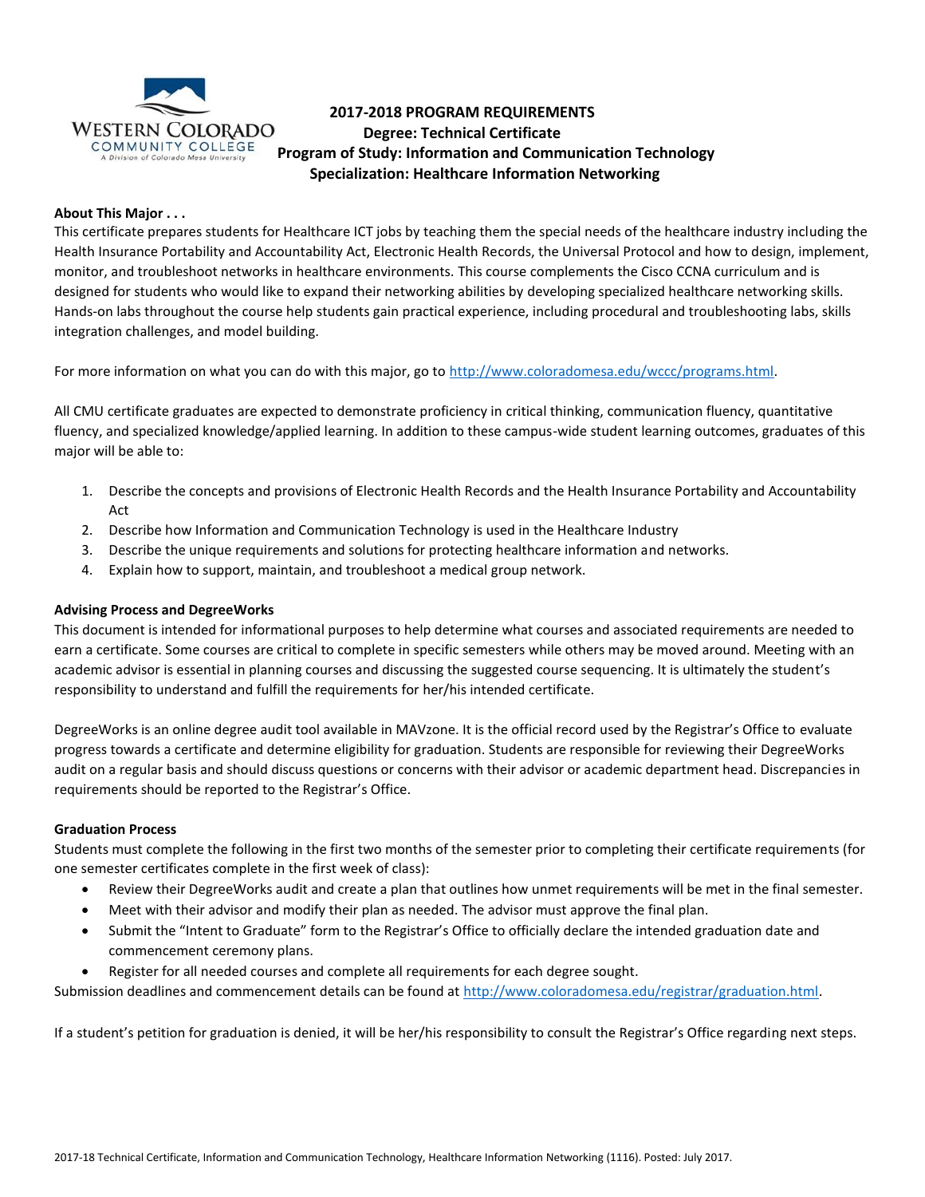

# **2017-2018 PROGRAM REQUIREMENTS Degree: Technical Certificate**  COMMUNITY COLLEGE<br>A Division of Colorado Mesa University<br>**Program of Study: Information and Communication Technology Specialization: Healthcare Information Networking**

# **About This Major . . .**

This certificate prepares students for Healthcare ICT jobs by teaching them the special needs of the healthcare industry including the Health Insurance Portability and Accountability Act, Electronic Health Records, the Universal Protocol and how to design, implement, monitor, and troubleshoot networks in healthcare environments. This course complements the Cisco CCNA curriculum and is designed for students who would like to expand their networking abilities by developing specialized healthcare networking skills. Hands-on labs throughout the course help students gain practical experience, including procedural and troubleshooting labs, skills integration challenges, and model building.

For more information on what you can do with this major, go to [http://www.coloradomesa.edu/wccc/programs.html.](http://www.coloradomesa.edu/wccc/programs.html)

All CMU certificate graduates are expected to demonstrate proficiency in critical thinking, communication fluency, quantitative fluency, and specialized knowledge/applied learning. In addition to these campus-wide student learning outcomes, graduates of this major will be able to:

- 1. Describe the concepts and provisions of Electronic Health Records and the Health Insurance Portability and Accountability Act
- 2. Describe how Information and Communication Technology is used in the Healthcare Industry
- 3. Describe the unique requirements and solutions for protecting healthcare information and networks.
- 4. Explain how to support, maintain, and troubleshoot a medical group network.

### **Advising Process and DegreeWorks**

This document is intended for informational purposes to help determine what courses and associated requirements are needed to earn a certificate. Some courses are critical to complete in specific semesters while others may be moved around. Meeting with an academic advisor is essential in planning courses and discussing the suggested course sequencing. It is ultimately the student's responsibility to understand and fulfill the requirements for her/his intended certificate.

DegreeWorks is an online degree audit tool available in MAVzone. It is the official record used by the Registrar's Office to evaluate progress towards a certificate and determine eligibility for graduation. Students are responsible for reviewing their DegreeWorks audit on a regular basis and should discuss questions or concerns with their advisor or academic department head. Discrepancies in requirements should be reported to the Registrar's Office.

### **Graduation Process**

Students must complete the following in the first two months of the semester prior to completing their certificate requirements (for one semester certificates complete in the first week of class):

- Review their DegreeWorks audit and create a plan that outlines how unmet requirements will be met in the final semester.
- Meet with their advisor and modify their plan as needed. The advisor must approve the final plan.
- Submit the "Intent to Graduate" form to the Registrar's Office to officially declare the intended graduation date and commencement ceremony plans.
- Register for all needed courses and complete all requirements for each degree sought.

Submission deadlines and commencement details can be found at [http://www.coloradomesa.edu/registrar/graduation.html.](http://www.coloradomesa.edu/registrar/graduation.html)

If a student's petition for graduation is denied, it will be her/his responsibility to consult the Registrar's Office regarding next steps.